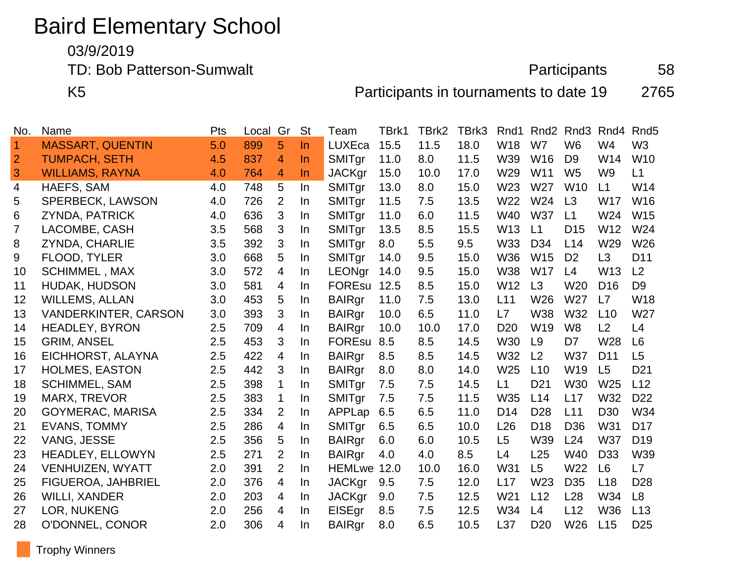## Baird Elementary School

03/9/2019

TD: Bob Patterson-Sumwalt **Participants** 58

K5 Participants in tournaments to date 19 2765

| No.            | Name                        | Pts | Local | Gr             | <b>St</b> | Team          | TBrk1 | TBrk2 | TBrk3 | Rnd1            | Rnd <sub>2</sub> | Rnd <sub>3</sub> | Rnd4            | Rnd <sub>5</sub> |
|----------------|-----------------------------|-----|-------|----------------|-----------|---------------|-------|-------|-------|-----------------|------------------|------------------|-----------------|------------------|
| $\overline{1}$ | <b>MASSART, QUENTIN</b>     | 5.0 | 899   | 5              | $\ln$     | <b>LUXEca</b> | 15.5  | 11.5  | 18.0  | W18             | W7               | W <sub>6</sub>   | W4              | W <sub>3</sub>   |
| $\overline{2}$ | <b>TUMPACH, SETH</b>        | 4.5 | 837   | 4              | <b>In</b> | SMITgr        | 11.0  | 8.0   | 11.5  | W39             | W16              | D <sub>9</sub>   | W14             | W10              |
| 3              | <b>WILLIAMS, RAYNA</b>      | 4.0 | 764   | 4              | In        | <b>JACKgr</b> | 15.0  | 10.0  | 17.0  | W29             | W11              | W <sub>5</sub>   | W <sub>9</sub>  | L1               |
| 4              | HAEFS, SAM                  | 4.0 | 748   | 5              | In        | SMITgr        | 13.0  | 8.0   | 15.0  | W23             | W27              | W10              | L1              | W14              |
| 5              | <b>SPERBECK, LAWSON</b>     | 4.0 | 726   | 2              | In        | SMITgr        | 11.5  | 7.5   | 13.5  | W22             | W24              | L3               | W17             | W16              |
| 6              | <b>ZYNDA, PATRICK</b>       | 4.0 | 636   | 3              | In        | SMITgr        | 11.0  | 6.0   | 11.5  | W40             | <b>W37</b>       | L1               | W24             | W <sub>15</sub>  |
| $\overline{7}$ | LACOMBE, CASH               | 3.5 | 568   | 3              | In        | SMITgr        | 13.5  | 8.5   | 15.5  | W <sub>13</sub> | L1               | D <sub>15</sub>  | W <sub>12</sub> | W24              |
| 8              | ZYNDA, CHARLIE              | 3.5 | 392   | 3              | In        | SMITgr        | 8.0   | 5.5   | 9.5   | W33             | D <sub>34</sub>  | L14              | W29             | W26              |
| 9              | FLOOD, TYLER                | 3.0 | 668   | 5              | In        | SMITgr        | 14.0  | 9.5   | 15.0  | <b>W36</b>      | W <sub>15</sub>  | D <sub>2</sub>   | L3              | D <sub>11</sub>  |
| 10             | <b>SCHIMMEL, MAX</b>        | 3.0 | 572   | $\overline{4}$ | In        | <b>LEONgr</b> | 14.0  | 9.5   | 15.0  | <b>W38</b>      | <b>W17</b>       | L4               | W <sub>13</sub> | L <sub>2</sub>   |
| 11             | <b>HUDAK, HUDSON</b>        | 3.0 | 581   | $\overline{4}$ | In.       | FOREsu 12.5   |       | 8.5   | 15.0  | W12             | L3               | W <sub>20</sub>  | D <sub>16</sub> | D <sub>9</sub>   |
| 12             | <b>WILLEMS, ALLAN</b>       | 3.0 | 453   | 5              | In        | <b>BAIRgr</b> | 11.0  | 7.5   | 13.0  | L11             | W26              | W27              | L7              | W18              |
| 13             | <b>VANDERKINTER, CARSON</b> | 3.0 | 393   | 3              | In        | <b>BAIRgr</b> | 10.0  | 6.5   | 11.0  | L7              | <b>W38</b>       | W32              | L10             | W27              |
| 14             | <b>HEADLEY, BYRON</b>       | 2.5 | 709   | $\overline{4}$ | In        | <b>BAIRgr</b> | 10.0  | 10.0  | 17.0  | D <sub>20</sub> | W19              | W <sub>8</sub>   | L <sub>2</sub>  | L4               |
| 15             | <b>GRIM, ANSEL</b>          | 2.5 | 453   | 3              | In        | FOREsu 8.5    |       | 8.5   | 14.5  | <b>W30</b>      | L <sub>9</sub>   | D7               | W28             | L <sub>6</sub>   |
| 16             | EICHHORST, ALAYNA           | 2.5 | 422   | $\overline{4}$ | In        | <b>BAIRgr</b> | 8.5   | 8.5   | 14.5  | W32             | L2               | <b>W37</b>       | D11             | L5               |
| 17             | <b>HOLMES, EASTON</b>       | 2.5 | 442   | 3              | In        | <b>BAIRgr</b> | 8.0   | 8.0   | 14.0  | W25             | L10              | W19              | L5              | D <sub>21</sub>  |
| 18             | <b>SCHIMMEL, SAM</b>        | 2.5 | 398   | 1              | In.       | SMITgr        | 7.5   | 7.5   | 14.5  | L1              | D <sub>21</sub>  | <b>W30</b>       | W <sub>25</sub> | L12              |
| 19             | <b>MARX, TREVOR</b>         | 2.5 | 383   | 1              | In        | SMITgr        | 7.5   | 7.5   | 11.5  | W35             | L14              | L17              | W32             | D <sub>22</sub>  |
| 20             | <b>GOYMERAC, MARISA</b>     | 2.5 | 334   | $\overline{2}$ | In        | APPLap        | 6.5   | 6.5   | 11.0  | D <sub>14</sub> | D <sub>28</sub>  | L11              | D <sub>30</sub> | W34              |
| 21             | <b>EVANS, TOMMY</b>         | 2.5 | 286   | $\overline{4}$ | In        | SMITgr        | 6.5   | 6.5   | 10.0  | L26             | D <sub>18</sub>  | D <sub>36</sub>  | W31             | D <sub>17</sub>  |
| 22             | VANG, JESSE                 | 2.5 | 356   | 5              | In        | <b>BAIRgr</b> | 6.0   | 6.0   | 10.5  | L <sub>5</sub>  | W39              | L24              | <b>W37</b>      | D <sub>19</sub>  |
| 23             | <b>HEADLEY, ELLOWYN</b>     | 2.5 | 271   | 2              | In.       | <b>BAIRgr</b> | 4.0   | 4.0   | 8.5   | L4              | L25              | W40              | D <sub>33</sub> | W39              |
| 24             | <b>VENHUIZEN, WYATT</b>     | 2.0 | 391   | $\overline{2}$ | In.       | HEMLwe 12.0   |       | 10.0  | 16.0  | W31             | L <sub>5</sub>   | W22              | L <sub>6</sub>  | L7               |
| 25             | FIGUEROA, JAHBRIEL          | 2.0 | 376   | $\overline{4}$ | In        | <b>JACKgr</b> | 9.5   | 7.5   | 12.0  | L17             | W23              | D <sub>35</sub>  | L <sub>18</sub> | D <sub>28</sub>  |
| 26             | <b>WILLI, XANDER</b>        | 2.0 | 203   | $\overline{4}$ | In        | <b>JACKgr</b> | 9.0   | 7.5   | 12.5  | W21             | L12              | L <sub>28</sub>  | W34             | L <sub>8</sub>   |
| 27             | LOR, NUKENG                 | 2.0 | 256   | $\overline{4}$ | In.       | EISEgr        | 8.5   | 7.5   | 12.5  | W34             | L4               | L12              | <b>W36</b>      | L13              |
| 28             | O'DONNEL, CONOR             | 2.0 | 306   | 4              | In        | <b>BAIRgr</b> | 8.0   | 6.5   | 10.5  | L37             | D <sub>20</sub>  | W26              | L15             | D <sub>25</sub>  |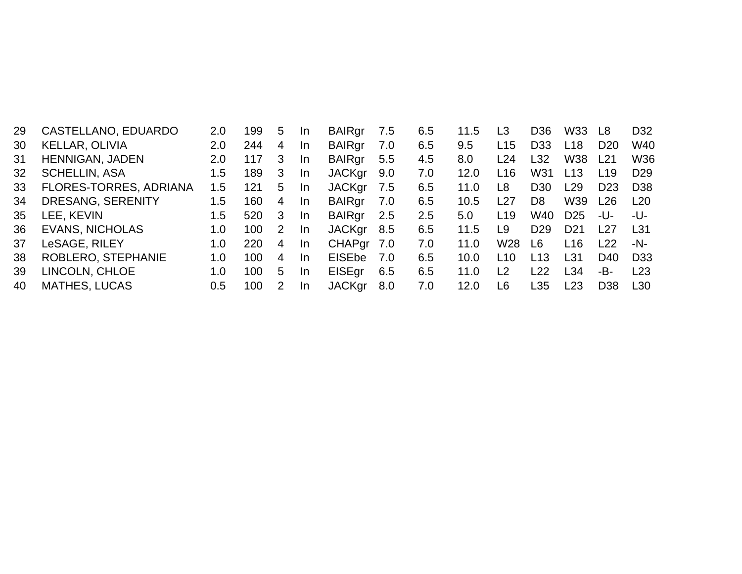| 29 | CASTELLANO, EDUARDO    | 2.0 | 199 | 5             | -In | <b>BAIRgr</b> | 7.5 | 6.5 | 11.5 | L3              | D <sub>36</sub> | W33             | L8              | D32             |
|----|------------------------|-----|-----|---------------|-----|---------------|-----|-----|------|-----------------|-----------------|-----------------|-----------------|-----------------|
| 30 | KELLAR, OLIVIA         | 2.0 | 244 | 4             | -In | <b>BAIRgr</b> | 7.0 | 6.5 | 9.5  | L <sub>15</sub> | D <sub>33</sub> | L <sub>18</sub> | D <sub>20</sub> | W40             |
| 31 | HENNIGAN, JADEN        | 2.0 | 117 | 3             | -In | <b>BAIRgr</b> | 5.5 | 4.5 | 8.0  | L24             | L32             | W38             | L21             | W36             |
| 32 | <b>SCHELLIN, ASA</b>   | 1.5 | 189 | 3             | -In | <b>JACKgr</b> | 9.0 | 7.0 | 12.0 | L <sub>16</sub> | W31             | L <sub>13</sub> | L <sub>19</sub> | D <sub>29</sub> |
| 33 | FLORES-TORRES, ADRIANA | 1.5 | 121 | 5             | -In | <b>JACKgr</b> | 7.5 | 6.5 | 11.0 | L8              | D <sub>30</sub> | L29             | D <sub>23</sub> | D <sub>38</sub> |
| 34 | DRESANG, SERENITY      | 1.5 | 160 | 4             | -In | <b>BAIRgr</b> | 7.0 | 6.5 | 10.5 | L27             | D <sub>8</sub>  | W39             | L26             | L <sub>20</sub> |
| 35 | LEE, KEVIN             | 1.5 | 520 | 3             | -In | <b>BAIRgr</b> | 2.5 | 2.5 | 5.0  | L <sub>19</sub> | W40             | D <sub>25</sub> | -U-             | -U-             |
| 36 | <b>EVANS, NICHOLAS</b> | 1.0 | 100 | $\mathcal{P}$ | -In | <b>JACKgr</b> | 8.5 | 6.5 | 11.5 | L9              | D <sub>29</sub> | D <sub>21</sub> | l 27            | L31             |
| 37 | LeSAGE, RILEY          | 1.0 | 220 | 4             | -In | CHAPgr 7.0    |     | 7.0 | 11.0 | W <sub>28</sub> | L6              | L16             | l 22            | -N-             |
| 38 | ROBLERO, STEPHANIE     | 1.0 | 100 | 4             | -In | <b>EISEbe</b> | 7.0 | 6.5 | 10.0 | L10             | L13             | L31             | D40             | D <sub>33</sub> |
| 39 | LINCOLN, CHLOE         | 1.0 | 100 | 5             | -In | <b>EISEgr</b> | 6.5 | 6.5 | 11.0 | L2              | L22             | L34             | -B-             | L <sub>23</sub> |
| 40 | <b>MATHES, LUCAS</b>   | 0.5 | 100 |               | -In | <b>JACKgr</b> | 8.0 | 7.0 | 12.0 | L6              | L35             | L23             | D <sub>38</sub> | L30             |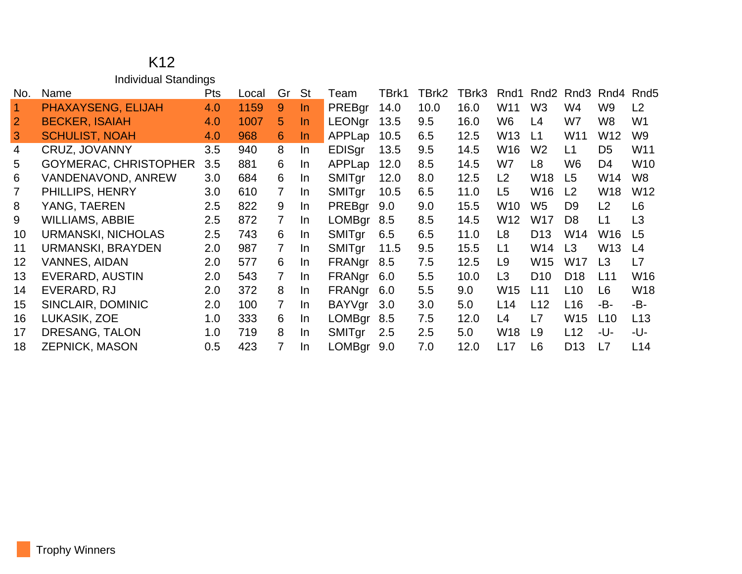## K12 Individual Standings

| No.               | Name                         | <b>Pts</b> | Local | Gr             | <b>St</b> | Team          | TBrk1 | TBrk2 | TBrk3 | Rnd1           | Rnd <sub>2</sub> | Rnd3            | Rnd4            | Rnd <sub>5</sub> |
|-------------------|------------------------------|------------|-------|----------------|-----------|---------------|-------|-------|-------|----------------|------------------|-----------------|-----------------|------------------|
| $\overline{1}$    | PHAXAYSENG, ELIJAH           | 4.0        | 1159  | 9              | $\ln$     | PREBgr        | 14.0  | 10.0  | 16.0  | W11            | W <sub>3</sub>   | W4              | W9              | L <sub>2</sub>   |
| $\overline{2}$    | <b>BECKER, ISAIAH</b>        | 4.0        | 1007  | 5              | In.       | <b>LEONgr</b> | 13.5  | 9.5   | 16.0  | W6             | L4               | W7              | W8              | W1               |
| 3                 | <b>SCHULIST, NOAH</b>        | 4.0        | 968   | 6              | In.       | APPLap        | 10.5  | 6.5   | 12.5  | W13            | L1               | W <sub>11</sub> | W12             | W <sub>9</sub>   |
| $\overline{4}$    | CRUZ, JOVANNY                | $3.5\,$    | 940   | 8              | In        | <b>EDISgr</b> | 13.5  | 9.5   | 14.5  | W16            | W <sub>2</sub>   | L1              | D <sub>5</sub>  | W11              |
| 5                 | <b>GOYMERAC, CHRISTOPHER</b> | 3.5        | 881   | 6              | In.       | APPLap        | 12.0  | 8.5   | 14.5  | W7             | L <sub>8</sub>   | W <sub>6</sub>  | D <sub>4</sub>  | W <sub>10</sub>  |
| 6                 | VANDENAVOND, ANREW           | 3.0        | 684   | 6              | In.       | SMITgr        | 12.0  | 8.0   | 12.5  | L2             | W18              | L <sub>5</sub>  | W14             | W <sub>8</sub>   |
|                   | PHILLIPS, HENRY              | 3.0        | 610   | $\mathbf{7}$   | In.       | <b>SMITgr</b> | 10.5  | 6.5   | 11.0  | L <sub>5</sub> | W16              | L <sub>2</sub>  | W18             | W12              |
| 8                 | YANG, TAEREN                 | 2.5        | 822   | 9              | In.       | PREBgr        | 9.0   | 9.0   | 15.5  | W10            | W <sub>5</sub>   | D <sub>9</sub>  | L <sub>2</sub>  | L <sub>6</sub>   |
| 9                 | <b>WILLIAMS, ABBIE</b>       | $2.5\,$    | 872   | $\mathbf{7}$   | In.       | <b>LOMBgr</b> | 8.5   | 8.5   | 14.5  | W12            | W17              | D <sub>8</sub>  | L1              | L3               |
| 10                | <b>URMANSKI, NICHOLAS</b>    | $2.5\,$    | 743   | 6              | In.       | SMITgr        | 6.5   | 6.5   | 11.0  | L8             | D <sub>13</sub>  | W14             | W16             | L <sub>5</sub>   |
| 11                | URMANSKI, BRAYDEN            | $2.0\,$    | 987   | $\overline{7}$ | In.       | SMITgr        | 11.5  | 9.5   | 15.5  | L1             | W14              | L3              | W <sub>13</sub> | L <sub>4</sub>   |
| $12 \overline{ }$ | <b>VANNES, AIDAN</b>         | 2.0        | 577   | 6              | In.       | FRANgr        | 8.5   | 7.5   | 12.5  | L <sub>9</sub> | W15              | W17             | L <sub>3</sub>  | L7               |
| 13                | EVERARD, AUSTIN              | $2.0\,$    | 543   | $\overline{7}$ | In.       | FRANgr        | 6.0   | 5.5   | 10.0  | L <sub>3</sub> | D <sub>10</sub>  | D <sub>18</sub> | L11             | W16              |
| 14                | EVERARD, RJ                  | $2.0\,$    | 372   | 8              | -In       | FRANgr        | 6.0   | 5.5   | 9.0   | W15            | L11              | L10             | L <sub>6</sub>  | <b>W18</b>       |
| 15                | SINCLAIR, DOMINIC            | $2.0\,$    | 100   | $\overline{7}$ | -In       | BAYVgr        | 3.0   | 3.0   | 5.0   | L14            | L12              | L16             | -B-             | -B-              |
| 16                | LUKASIK, ZOE                 | 1.0        | 333   | 6              | <u>In</u> | <b>LOMBgr</b> | 8.5   | 7.5   | 12.0  | L4             | L7               | W15             | L10             | L13              |
| 17                | DRESANG, TALON               | 1.0        | 719   | 8              | <u>In</u> | <b>SMITgr</b> | 2.5   | 2.5   | 5.0   | W18            | L9               | L12             | -U-             | -U-              |
| 18                | <b>ZEPNICK, MASON</b>        | 0.5        | 423   |                | -In       | <b>LOMBgr</b> | 9.0   | 7.0   | 12.0  | L17            | L <sub>6</sub>   | D <sub>13</sub> | L7              | L14              |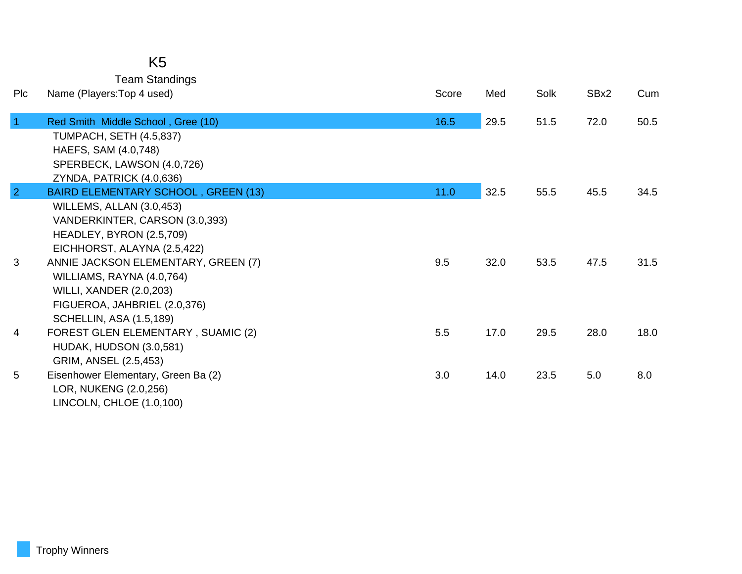| K5                    |
|-----------------------|
| <b>Team Standings</b> |

| <b>PIc</b>     | Name (Players: Top 4 used)                                                                                                                                           | Score | Med  | Solk | SBx2 | Cum  |
|----------------|----------------------------------------------------------------------------------------------------------------------------------------------------------------------|-------|------|------|------|------|
| $\mathbf{1}$   | Red Smith Middle School, Gree (10)<br><b>TUMPACH, SETH (4.5,837)</b><br>HAEFS, SAM (4.0,748)<br>SPERBECK, LAWSON (4.0,726)<br>ZYNDA, PATRICK (4.0,636)               | 16.5  | 29.5 | 51.5 | 72.0 | 50.5 |
| $\overline{2}$ | <b>BAIRD ELEMENTARY SCHOOL, GREEN (13)</b>                                                                                                                           | 11.0  | 32.5 | 55.5 | 45.5 | 34.5 |
|                | WILLEMS, ALLAN (3.0,453)<br>VANDERKINTER, CARSON (3.0,393)<br>HEADLEY, BYRON (2.5,709)<br>EICHHORST, ALAYNA (2.5,422)                                                |       |      |      |      |      |
| 3              | ANNIE JACKSON ELEMENTARY, GREEN (7)<br>WILLIAMS, RAYNA (4.0,764)<br><b>WILLI, XANDER (2.0,203)</b><br>FIGUEROA, JAHBRIEL (2.0,376)<br><b>SCHELLIN, ASA (1.5,189)</b> | 9.5   | 32.0 | 53.5 | 47.5 | 31.5 |
| 4              | <b>FOREST GLEN ELEMENTARY, SUAMIC (2)</b><br>HUDAK, HUDSON (3.0,581)<br>GRIM, ANSEL (2.5,453)                                                                        | 5.5   | 17.0 | 29.5 | 28.0 | 18.0 |
| 5              | Eisenhower Elementary, Green Ba (2)<br>LOR, NUKENG (2.0,256)<br>LINCOLN, CHLOE (1.0,100)                                                                             | 3.0   | 14.0 | 23.5 | 5.0  | 8.0  |